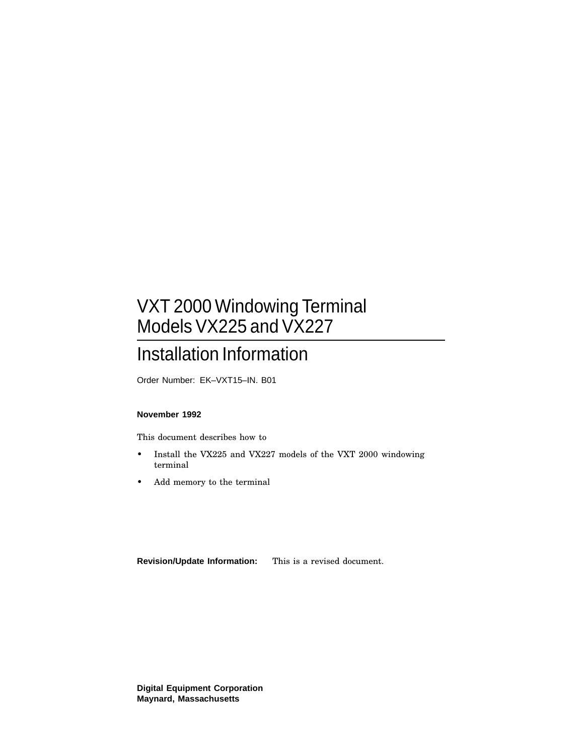## VXT 2000 Windowing Terminal Models VX225 and VX227

## Installation Information

Order Number: EK–VXT15–IN. B01

#### **November 1992**

This document describes how to

- Install the VX225 and VX227 models of the VXT 2000 windowing terminal
- Add memory to the terminal

**Revision/Update Information:** This is a revised document.

**Digital Equipment Corporation Maynard, Massachusetts**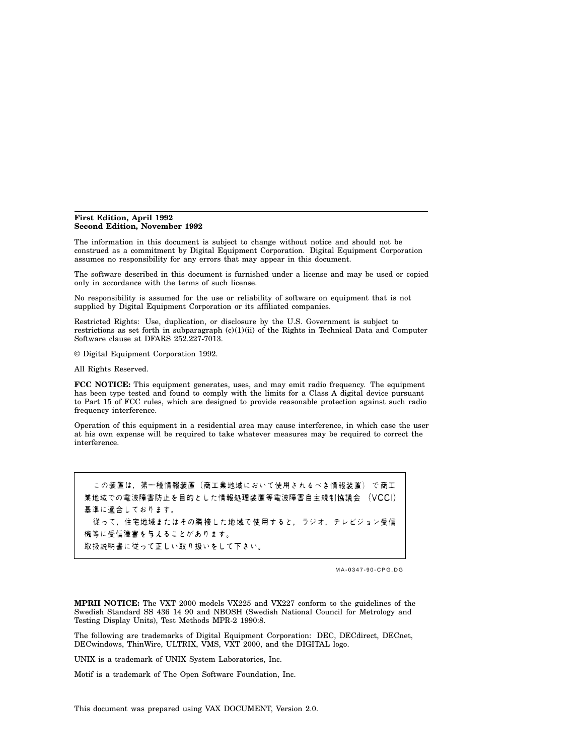#### **First Edition, April 1992 Second Edition, November 1992**

The information in this document is subject to change without notice and should not be construed as a commitment by Digital Equipment Corporation. Digital Equipment Corporation assumes no responsibility for any errors that may appear in this document.

The software described in this document is furnished under a license and may be used or copied only in accordance with the terms of such license.

No responsibility is assumed for the use or reliability of software on equipment that is not supplied by Digital Equipment Corporation or its affiliated companies.

Restricted Rights: Use, duplication, or disclosure by the U.S. Government is subject to restrictions as set forth in subparagraph  $(c)(1)(ii)$  of the Rights in Technical Data and Computer Software clause at DFARS 252.227-7013.

© Digital Equipment Corporation 1992.

All Rights Reserved.

**FCC NOTICE:** This equipment generates, uses, and may emit radio frequency. The equipment has been type tested and found to comply with the limits for a Class A digital device pursuant to Part 15 of FCC rules, which are designed to provide reasonable protection against such radio frequency interference.

Operation of this equipment in a residential area may cause interference, in which case the user at his own expense will be required to take whatever measures may be required to correct the interference.

この装置は、第一種情報装置(商工業地域において使用されるべき情報装置)で商工 業地域での電波障害防止を目的とした情報処理装置等電波障害自主規制協議会 (VCCI) 基準に適合しております。 従って、住宅地域またはその隣接した地域で使用すると、ラジオ、テレビジョン受信 機等に受信障害を与えることがあります。 取扱説明書に従って正しい取り扱いをして下さい。

MA-0347-90-CPG.DG

**MPRII NOTICE:** The VXT 2000 models VX225 and VX227 conform to the guidelines of the Swedish Standard SS 436 14 90 and NBOSH (Swedish National Council for Metrology and Testing Display Units), Test Methods MPR-2 1990:8.

The following are trademarks of Digital Equipment Corporation: DEC, DECdirect, DECnet, DECwindows, ThinWire, ULTRIX, VMS, VXT 2000, and the DIGITAL logo.

UNIX is a trademark of UNIX System Laboratories, Inc.

Motif is a trademark of The Open Software Foundation, Inc.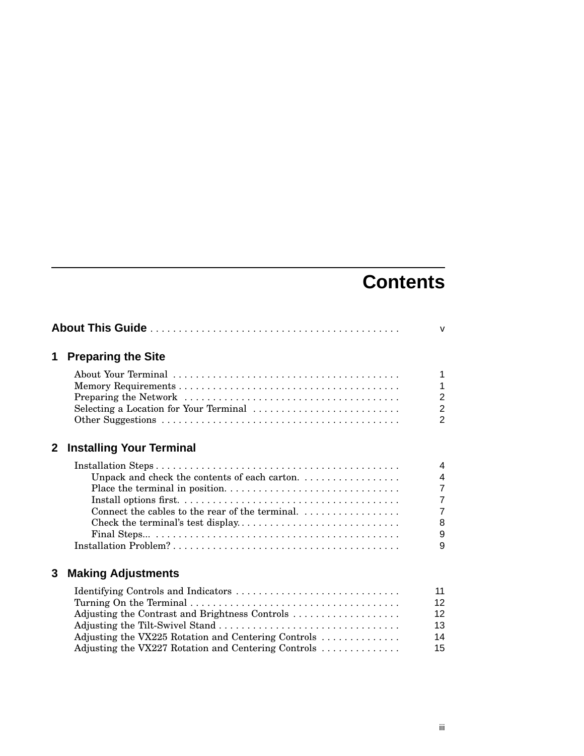## **Contents**

| 1              | <b>Preparing the Site</b>                           |                |
|----------------|-----------------------------------------------------|----------------|
|                |                                                     | $\mathbf{1}$   |
|                |                                                     | $\mathbf{1}$   |
|                |                                                     | $\overline{2}$ |
|                | Selecting a Location for Your Terminal              | $\overline{2}$ |
|                |                                                     | $\overline{2}$ |
| 2 <sup>1</sup> | <b>Installing Your Terminal</b>                     |                |
|                |                                                     | 4              |
|                | Unpack and check the contents of each carton.       | $\overline{4}$ |
|                |                                                     | $\overline{7}$ |
|                |                                                     | $\overline{7}$ |
|                | Connect the cables to the rear of the terminal.     | $\overline{7}$ |
|                |                                                     | 8              |
|                |                                                     | 9              |
|                |                                                     | 9              |
| 3              | <b>Making Adjustments</b>                           |                |
|                |                                                     | 11             |
|                |                                                     | 12             |
|                | Adjusting the Contrast and Brightness Controls      | 12             |
|                |                                                     | 13             |
|                | Adjusting the VX225 Rotation and Centering Controls | 14             |
|                | Adjusting the VX227 Rotation and Centering Controls | 15             |
|                |                                                     |                |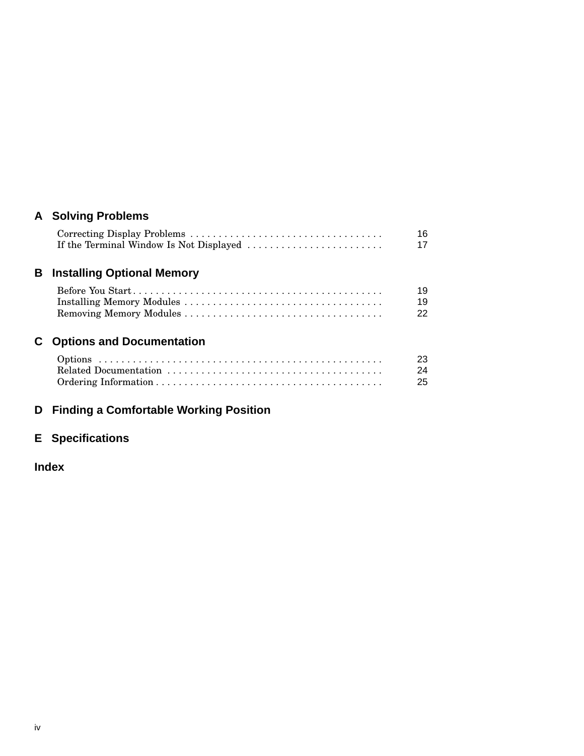## **A Solving Problems**

|                             | 16 |
|-----------------------------|----|
|                             | 17 |
|                             |    |
| Installing Ontianal Mamaruz |    |

## **B Installing Optional Memory**

| 19 |
|----|
| 22 |

## **C Options and Documentation**

| -23 |
|-----|
| -24 |
| -25 |

## **D Finding a Comfortable Working Position**

## **E Specifications**

## **Index**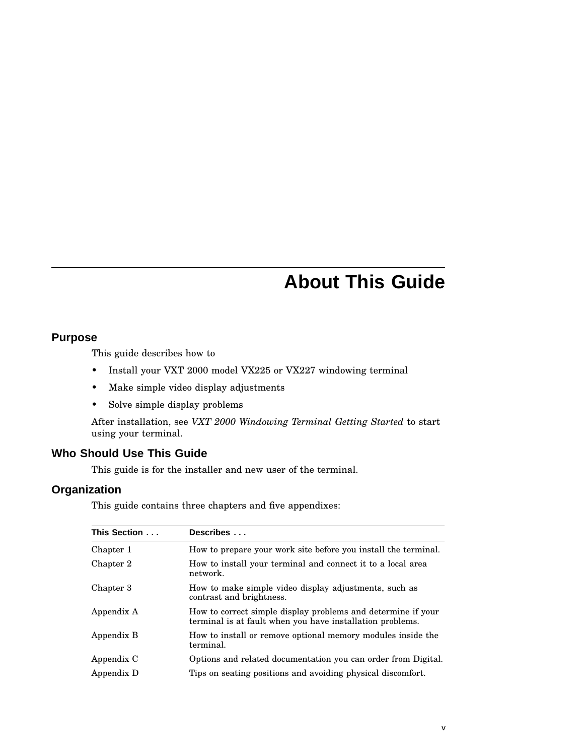## **About This Guide**

#### **Purpose**

This guide describes how to

- Install your VXT 2000 model VX225 or VX227 windowing terminal
- Make simple video display adjustments
- Solve simple display problems

After installation, see *VXT 2000 Windowing Terminal Getting Started* to start using your terminal.

#### **Who Should Use This Guide**

This guide is for the installer and new user of the terminal.

#### **Organization**

This guide contains three chapters and five appendixes:

| This Section | Describes                                                                                                                 |
|--------------|---------------------------------------------------------------------------------------------------------------------------|
| Chapter 1    | How to prepare your work site before you install the terminal.                                                            |
| Chapter 2    | How to install your terminal and connect it to a local area<br>network.                                                   |
| Chapter 3    | How to make simple video display adjustments, such as<br>contrast and brightness.                                         |
| Appendix A   | How to correct simple display problems and determine if your<br>terminal is at fault when you have installation problems. |
| Appendix B   | How to install or remove optional memory modules inside the<br>terminal.                                                  |
| Appendix C   | Options and related documentation you can order from Digital.                                                             |
| Appendix D   | Tips on seating positions and avoiding physical discomfort.                                                               |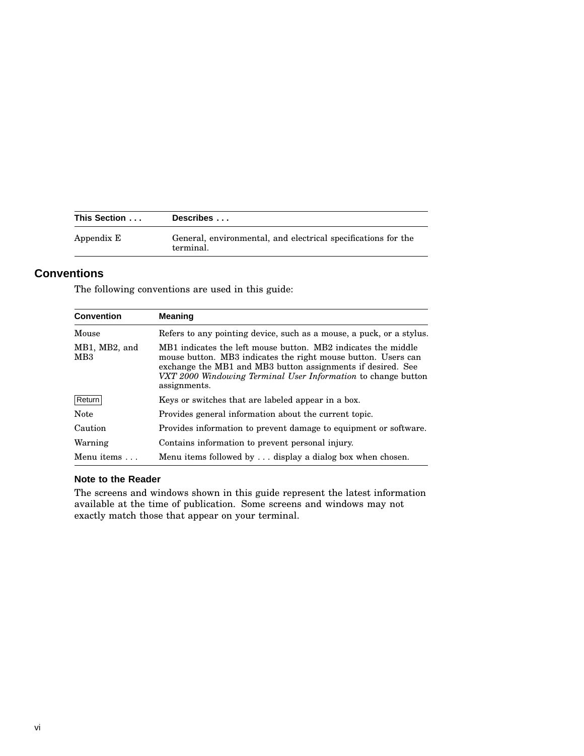| This Section | Describes                                                                  |
|--------------|----------------------------------------------------------------------------|
| Appendix E   | General, environmental, and electrical specifications for the<br>terminal. |

### **Conventions**

The following conventions are used in this guide:

| <b>Convention</b>                                                                                                                                                                                                                                                                                                  | <b>Meaning</b>                                                       |
|--------------------------------------------------------------------------------------------------------------------------------------------------------------------------------------------------------------------------------------------------------------------------------------------------------------------|----------------------------------------------------------------------|
| Mouse                                                                                                                                                                                                                                                                                                              | Refers to any pointing device, such as a mouse, a puck, or a stylus. |
| MB1, MB2, and<br>MB1 indicates the left mouse button. MB2 indicates the middle<br>MB <sub>3</sub><br>mouse button. MB3 indicates the right mouse button. Users can<br>exchange the MB1 and MB3 button assignments if desired. See<br>VXT 2000 Windowing Terminal User Information to change button<br>assignments. |                                                                      |
| Return                                                                                                                                                                                                                                                                                                             | Keys or switches that are labeled appear in a box.                   |
| <b>Note</b>                                                                                                                                                                                                                                                                                                        | Provides general information about the current topic.                |
| Caution                                                                                                                                                                                                                                                                                                            | Provides information to prevent damage to equipment or software.     |
| Warning                                                                                                                                                                                                                                                                                                            | Contains information to prevent personal injury.                     |
| Menu items $\ldots$                                                                                                                                                                                                                                                                                                | Menu items followed by  display a dialog box when chosen.            |

#### **Note to the Reader**

The screens and windows shown in this guide represent the latest information available at the time of publication. Some screens and windows may not exactly match those that appear on your terminal.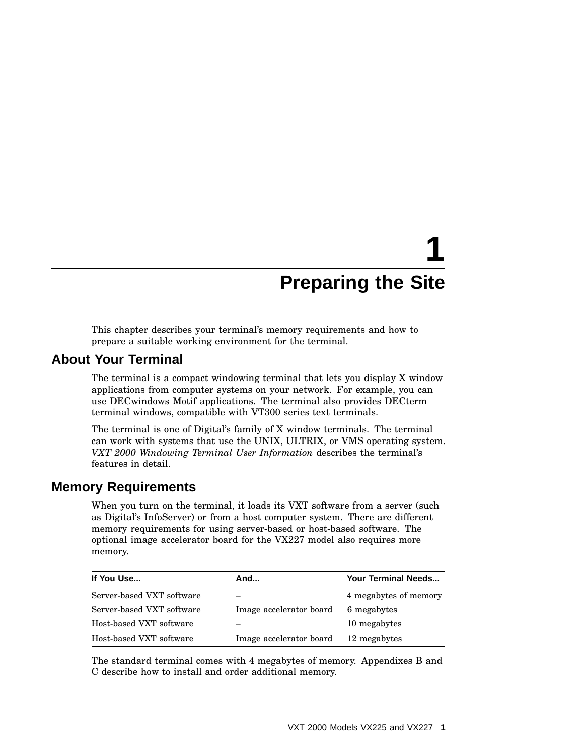# **1 Preparing the Site**

This chapter describes your terminal's memory requirements and how to prepare a suitable working environment for the terminal.

#### **About Your Terminal**

The terminal is a compact windowing terminal that lets you display X window applications from computer systems on your network. For example, you can use DECwindows Motif applications. The terminal also provides DECterm terminal windows, compatible with VT300 series text terminals.

The terminal is one of Digital's family of X window terminals. The terminal can work with systems that use the UNIX, ULTRIX, or VMS operating system. *VXT 2000 Windowing Terminal User Information* describes the terminal's features in detail.

## **Memory Requirements**

When you turn on the terminal, it loads its VXT software from a server (such as Digital's InfoServer) or from a host computer system. There are different memory requirements for using server-based or host-based software. The optional image accelerator board for the VX227 model also requires more memory.

| If You Use                | And                     | Your Terminal Needs   |
|---------------------------|-------------------------|-----------------------|
| Server-based VXT software |                         | 4 megabytes of memory |
| Server-based VXT software | Image accelerator board | 6 megabytes           |
| Host-based VXT software   |                         | 10 megabytes          |
| Host-based VXT software   | Image accelerator board | 12 megabytes          |

The standard terminal comes with 4 megabytes of memory. Appendixes B and C describe how to install and order additional memory.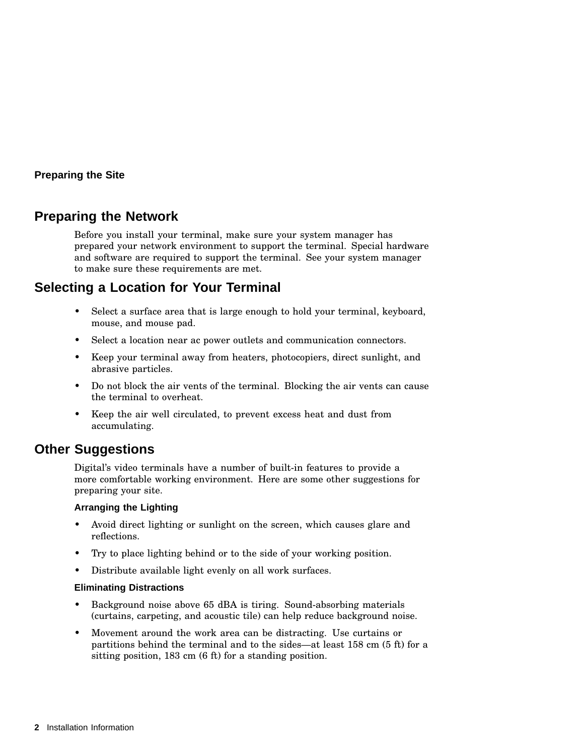#### **Preparing the Site**

## **Preparing the Network**

Before you install your terminal, make sure your system manager has prepared your network environment to support the terminal. Special hardware and software are required to support the terminal. See your system manager to make sure these requirements are met.

## **Selecting a Location for Your Terminal**

- Select a surface area that is large enough to hold your terminal, keyboard, mouse, and mouse pad.
- Select a location near ac power outlets and communication connectors.
- Keep your terminal away from heaters, photocopiers, direct sunlight, and abrasive particles.
- Do not block the air vents of the terminal. Blocking the air vents can cause the terminal to overheat.
- Keep the air well circulated, to prevent excess heat and dust from accumulating.

## **Other Suggestions**

Digital's video terminals have a number of built-in features to provide a more comfortable working environment. Here are some other suggestions for preparing your site.

#### **Arranging the Lighting**

- Avoid direct lighting or sunlight on the screen, which causes glare and reflections.
- Try to place lighting behind or to the side of your working position.
- Distribute available light evenly on all work surfaces.

#### **Eliminating Distractions**

- Background noise above 65 dBA is tiring. Sound-absorbing materials (curtains, carpeting, and acoustic tile) can help reduce background noise.
- Movement around the work area can be distracting. Use curtains or partitions behind the terminal and to the sides—at least 158 cm (5 ft) for a sitting position, 183 cm (6 ft) for a standing position.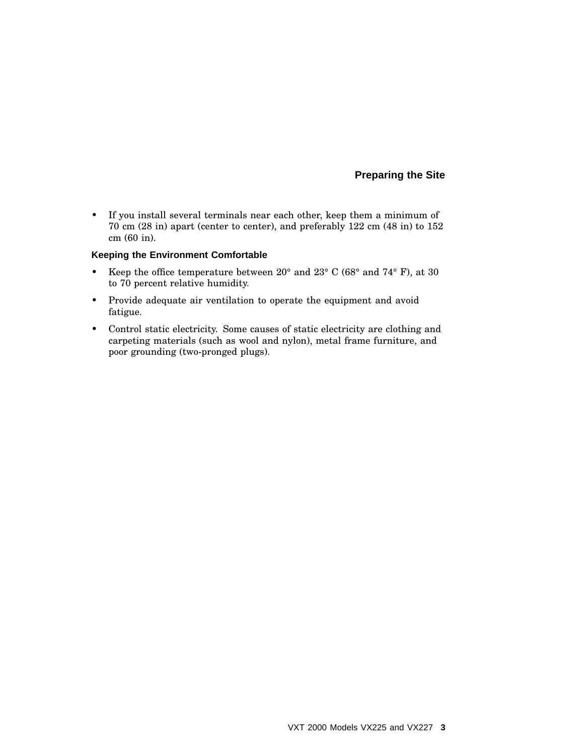#### **Preparing the Site**

• If you install several terminals near each other, keep them a minimum of 70 cm (28 in) apart (center to center), and preferably 122 cm (48 in) to 152 cm (60 in).

#### **Keeping the Environment Comfortable**

- Keep the office temperature between  $20^{\circ}$  and  $23^{\circ}$  C (68° and 74° F), at 30 to 70 percent relative humidity.
- Provide adequate air ventilation to operate the equipment and avoid fatigue.
- Control static electricity. Some causes of static electricity are clothing and carpeting materials (such as wool and nylon), metal frame furniture, and poor grounding (two-pronged plugs).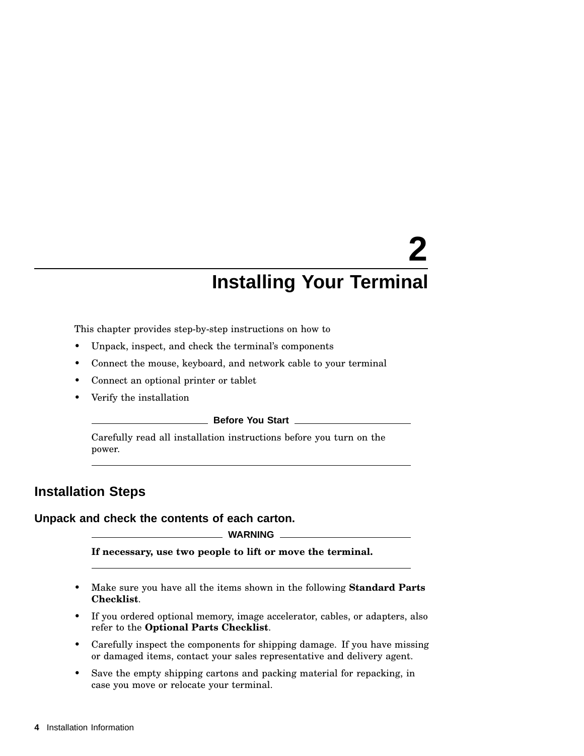This chapter provides step-by-step instructions on how to

- Unpack, inspect, and check the terminal's components
- Connect the mouse, keyboard, and network cable to your terminal
- Connect an optional printer or tablet
- Verify the installation

#### **Before You Start**

Carefully read all installation instructions before you turn on the power.

## **Installation Steps**

#### **Unpack and check the contents of each carton.**

#### **WARNING**

**If necessary, use two people to lift or move the terminal.**

- Make sure you have all the items shown in the following **Standard Parts Checklist**.
- If you ordered optional memory, image accelerator, cables, or adapters, also refer to the **Optional Parts Checklist**.
- Carefully inspect the components for shipping damage. If you have missing or damaged items, contact your sales representative and delivery agent.
- Save the empty shipping cartons and packing material for repacking, in case you move or relocate your terminal.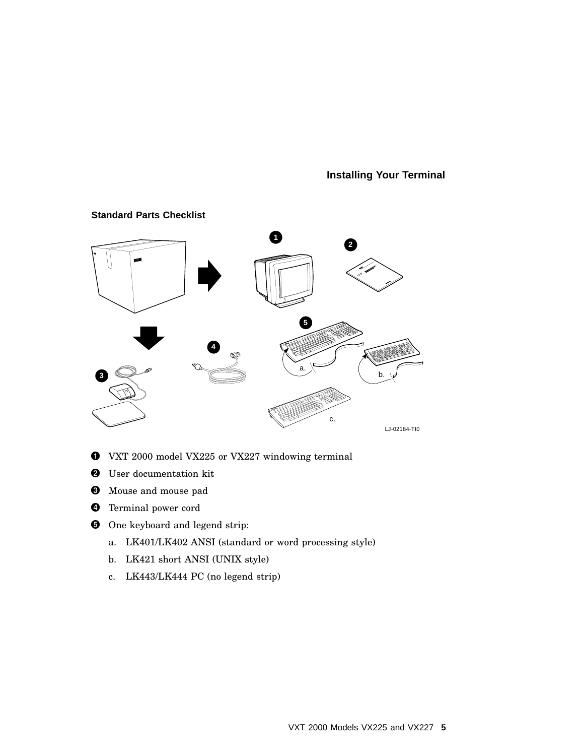

#### **Standard Parts Checklist**

- VXT 2000 model VX225 or VX227 windowing terminal
- **2** User documentation kit
- Mouse and mouse pad
- **O** Terminal power cord
- **O** One keyboard and legend strip:
	- a. LK401/LK402 ANSI (standard or word processing style)
	- b. LK421 short ANSI (UNIX style)
	- c. LK443/LK444 PC (no legend strip)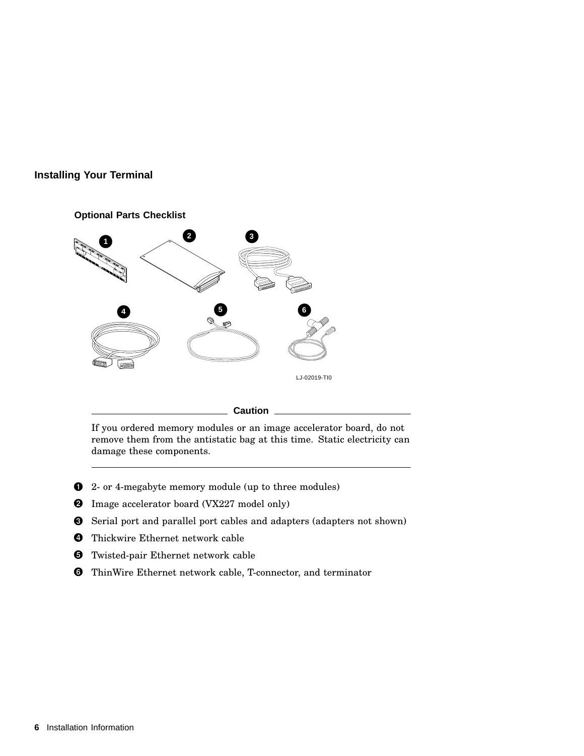

#### **Caution**

If you ordered memory modules or an image accelerator board, do not remove them from the antistatic bag at this time. Static electricity can damage these components.

- **1** 2- or 4-megabyte memory module (up to three modules)
- **2** Image accelerator board (VX227 model only)
- Serial port and parallel port cables and adapters (adapters not shown)
- **O** Thickwire Ethernet network cable
- **6** Twisted-pair Ethernet network cable
- **O** ThinWire Ethernet network cable, T-connector, and terminator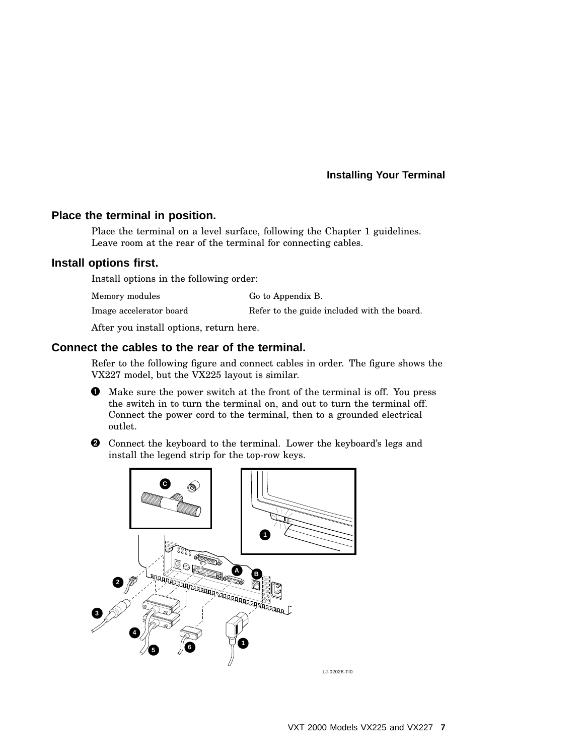#### **Place the terminal in position.**

Place the terminal on a level surface, following the Chapter 1 guidelines. Leave room at the rear of the terminal for connecting cables.

#### **Install options first.**

Install options in the following order:

| Memory modules          | Go to Appendix B.                           |
|-------------------------|---------------------------------------------|
| Image accelerator board | Refer to the guide included with the board. |

After you install options, return here.

#### **Connect the cables to the rear of the terminal.**

Refer to the following figure and connect cables in order. The figure shows the VX227 model, but the VX225 layout is similar.

- Make sure the power switch at the front of the terminal is off. You press the switch in to turn the terminal on, and out to turn the terminal off. Connect the power cord to the terminal, then to a grounded electrical outlet.
- $\Theta$  Connect the keyboard to the terminal. Lower the keyboard's legs and install the legend strip for the top-row keys.

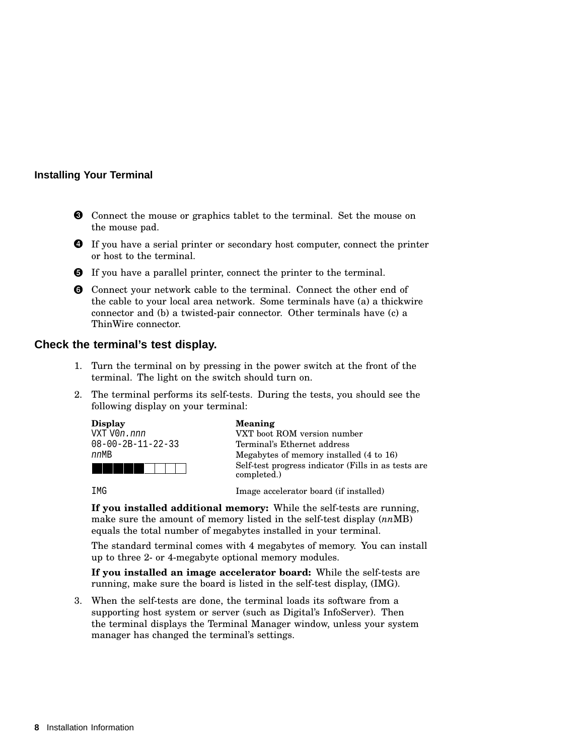- $\odot$  Connect the mouse or graphics tablet to the terminal. Set the mouse on the mouse pad.
- **O** If you have a serial printer or secondary host computer, connect the printer or host to the terminal.
- **O** If you have a parallel printer, connect the printer to the terminal.
- **O** Connect your network cable to the terminal. Connect the other end of the cable to your local area network. Some terminals have (a) a thickwire connector and (b) a twisted-pair connector. Other terminals have (c) a ThinWire connector.

#### **Check the terminal's test display.**

- 1. Turn the terminal on by pressing in the power switch at the front of the terminal. The light on the switch should turn on.
- 2. The terminal performs its self-tests. During the tests, you should see the following display on your terminal:



**If you installed additional memory:** While the self-tests are running, make sure the amount of memory listed in the self-test display (*nn*MB) equals the total number of megabytes installed in your terminal.

The standard terminal comes with 4 megabytes of memory. You can install up to three 2- or 4-megabyte optional memory modules.

**If you installed an image accelerator board:** While the self-tests are running, make sure the board is listed in the self-test display, (IMG).

3. When the self-tests are done, the terminal loads its software from a supporting host system or server (such as Digital's InfoServer). Then the terminal displays the Terminal Manager window, unless your system manager has changed the terminal's settings.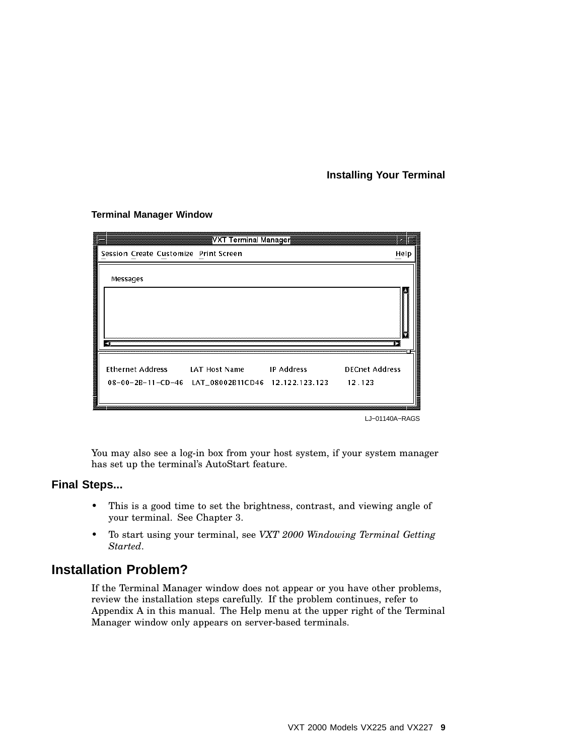|    |                                       | <mark>¶VXT Terminal Manager</mark>                                                             |                                 |
|----|---------------------------------------|------------------------------------------------------------------------------------------------|---------------------------------|
|    | Session Create Customize Print Screen |                                                                                                | Help                            |
| 40 | Messages                              |                                                                                                |                                 |
|    |                                       | Ethernet Address LAT Host Name IP Address<br>08-00-2B-11-CD-46 LAT_08002B11CD46 12.122.123.123 | <b>DECnet Address</b><br>12.123 |

**Terminal Manager Window**

LJ−01140A−RAGS

You may also see a log-in box from your host system, if your system manager has set up the terminal's AutoStart feature.

#### **Final Steps...**

- This is a good time to set the brightness, contrast, and viewing angle of your terminal. See Chapter 3.
- To start using your terminal, see *VXT 2000 Windowing Terminal Getting Started*.

## **Installation Problem?**

If the Terminal Manager window does not appear or you have other problems, review the installation steps carefully. If the problem continues, refer to Appendix A in this manual. The Help menu at the upper right of the Terminal Manager window only appears on server-based terminals.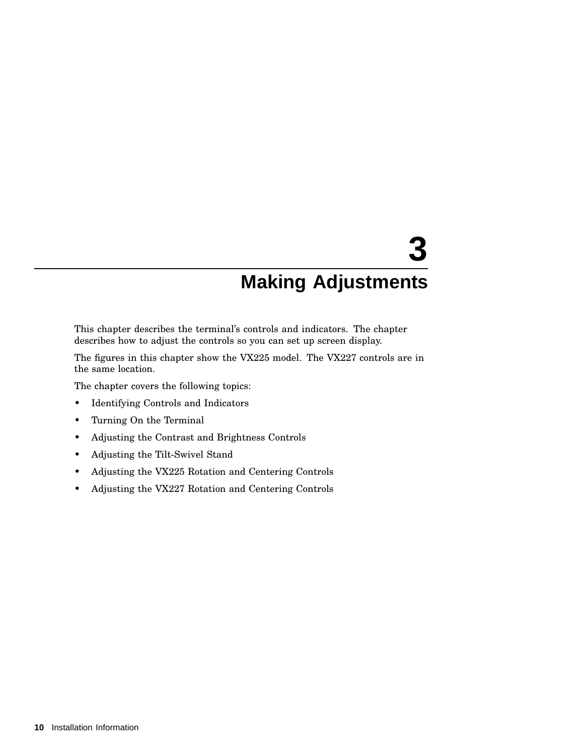This chapter describes the terminal's controls and indicators. The chapter describes how to adjust the controls so you can set up screen display.

The figures in this chapter show the VX225 model. The VX227 controls are in the same location.

The chapter covers the following topics:

- Identifying Controls and Indicators
- Turning On the Terminal
- Adjusting the Contrast and Brightness Controls
- Adjusting the Tilt-Swivel Stand
- Adjusting the VX225 Rotation and Centering Controls
- Adjusting the VX227 Rotation and Centering Controls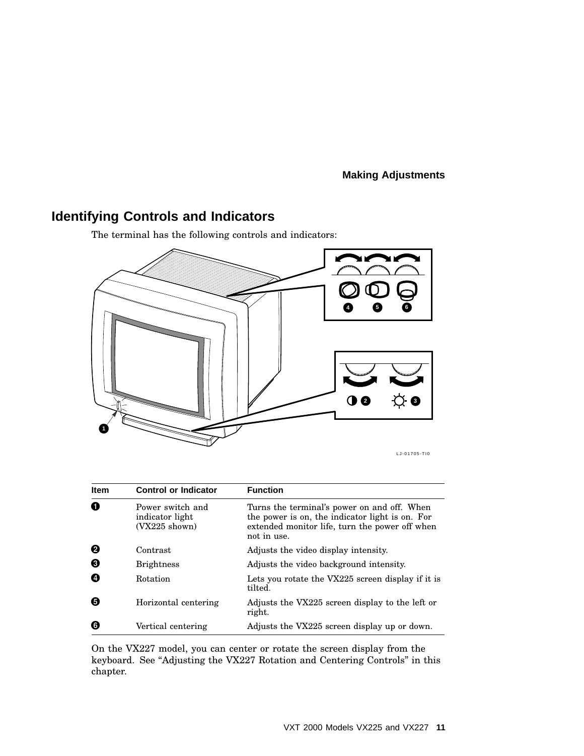## **Identifying Controls and Indicators**

The terminal has the following controls and indicators:



LJ-01705-TI0

| <b>Item</b> | <b>Control or Indicator</b>                            | <b>Function</b>                                                                                                                                                 |
|-------------|--------------------------------------------------------|-----------------------------------------------------------------------------------------------------------------------------------------------------------------|
| 0           | Power switch and<br>indicator light<br>$(VX225$ shown) | Turns the terminal's power on and off. When<br>the power is on, the indicator light is on. For<br>extended monitor life, turn the power off when<br>not in use. |
| ❷           | Contrast                                               | Adjusts the video display intensity.                                                                                                                            |
| ❸           | <b>Brightness</b>                                      | Adjusts the video background intensity.                                                                                                                         |
| Ø           | Rotation                                               | Lets you rotate the VX225 screen display if it is<br>tilted.                                                                                                    |
| Θ           | Horizontal centering                                   | Adjusts the VX225 screen display to the left or<br>right.                                                                                                       |
| Θ           | Vertical centering                                     | Adjusts the VX225 screen display up or down.                                                                                                                    |

On the VX227 model, you can center or rotate the screen display from the keyboard. See ''Adjusting the VX227 Rotation and Centering Controls'' in this chapter.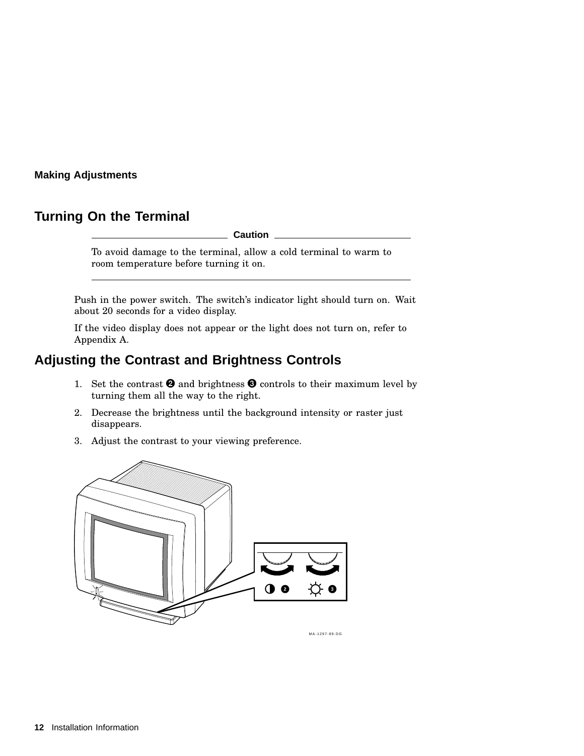## **Turning On the Terminal**

**Caution**

To avoid damage to the terminal, allow a cold terminal to warm to room temperature before turning it on.

Push in the power switch. The switch's indicator light should turn on. Wait about 20 seconds for a video display.

If the video display does not appear or the light does not turn on, refer to Appendix A.

## **Adjusting the Contrast and Brightness Controls**

- 1. Set the contrast  $\Theta$  and brightness  $\Theta$  controls to their maximum level by turning them all the way to the right.
- 2. Decrease the brightness until the background intensity or raster just disappears.
- 3. Adjust the contrast to your viewing preference.



MA-1297-89.DG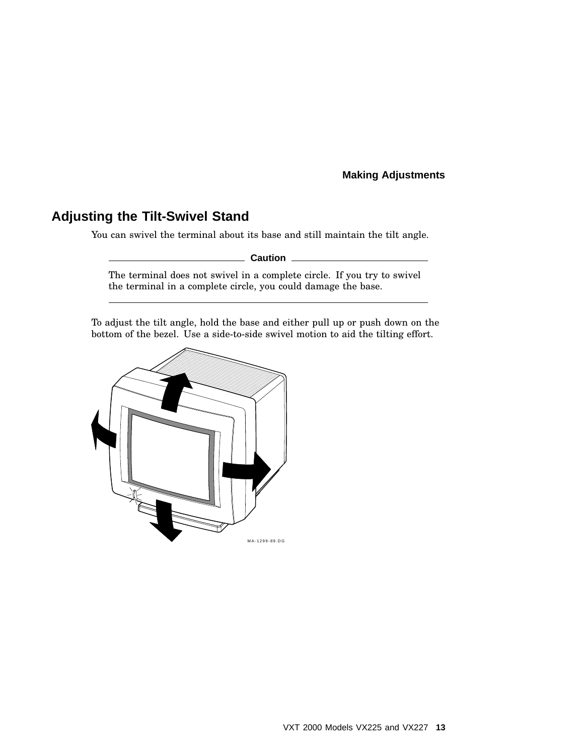## **Adjusting the Tilt-Swivel Stand**

You can swivel the terminal about its base and still maintain the tilt angle.

**Caution**

The terminal does not swivel in a complete circle. If you try to swivel the terminal in a complete circle, you could damage the base.

To adjust the tilt angle, hold the base and either pull up or push down on the bottom of the bezel. Use a side-to-side swivel motion to aid the tilting effort.

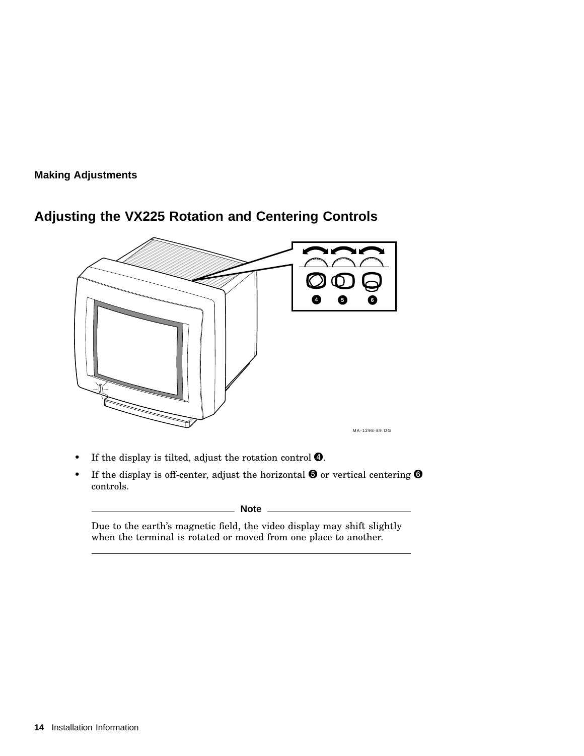

## **Adjusting the VX225 Rotation and Centering Controls**

- If the display is tilted, adjust the rotation control **O**.
- If the display is off-center, adjust the horizontal  $\Theta$  or vertical centering  $\Theta$ controls.

**Note**

Due to the earth's magnetic field, the video display may shift slightly when the terminal is rotated or moved from one place to another.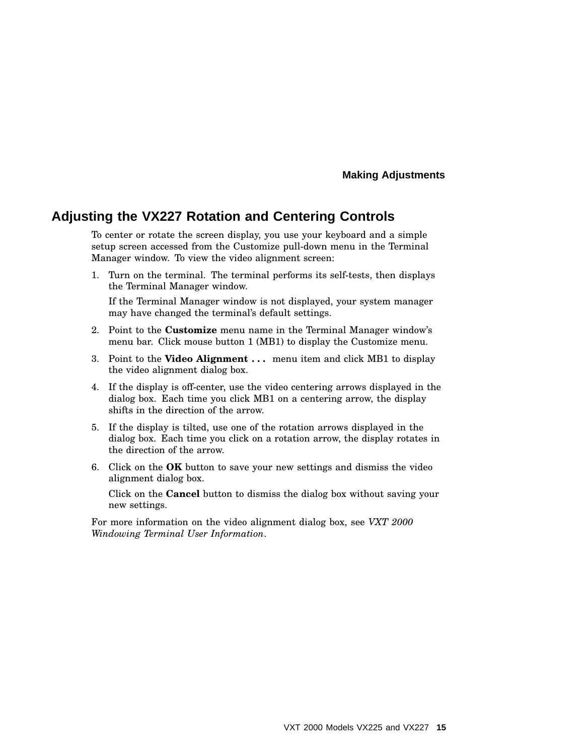### **Adjusting the VX227 Rotation and Centering Controls**

To center or rotate the screen display, you use your keyboard and a simple setup screen accessed from the Customize pull-down menu in the Terminal Manager window. To view the video alignment screen:

1. Turn on the terminal. The terminal performs its self-tests, then displays the Terminal Manager window.

If the Terminal Manager window is not displayed, your system manager may have changed the terminal's default settings.

- 2. Point to the **Customize** menu name in the Terminal Manager window's menu bar. Click mouse button 1 (MB1) to display the Customize menu.
- 3. Point to the **Video Alignment . . .** menu item and click MB1 to display the video alignment dialog box.
- 4. If the display is off-center, use the video centering arrows displayed in the dialog box. Each time you click MB1 on a centering arrow, the display shifts in the direction of the arrow.
- 5. If the display is tilted, use one of the rotation arrows displayed in the dialog box. Each time you click on a rotation arrow, the display rotates in the direction of the arrow.
- 6. Click on the **OK** button to save your new settings and dismiss the video alignment dialog box.

Click on the **Cancel** button to dismiss the dialog box without saving your new settings.

For more information on the video alignment dialog box, see *VXT 2000 Windowing Terminal User Information*.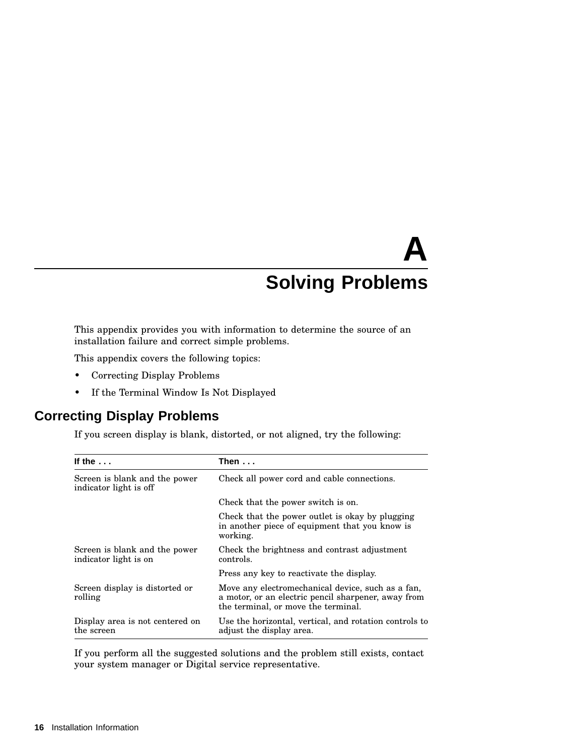# **A Solving Problems**

This appendix provides you with information to determine the source of an installation failure and correct simple problems.

This appendix covers the following topics:

- Correcting Display Problems
- If the Terminal Window Is Not Displayed

## **Correcting Display Problems**

If you screen display is blank, distorted, or not aligned, try the following:

| If the $\ldots$                                         | Then...                                                                                                                                         |
|---------------------------------------------------------|-------------------------------------------------------------------------------------------------------------------------------------------------|
| Screen is blank and the power<br>indicator light is off | Check all power cord and cable connections.                                                                                                     |
|                                                         | Check that the power switch is on.                                                                                                              |
|                                                         | Check that the power outlet is okay by plugging<br>in another piece of equipment that you know is<br>working.                                   |
| Screen is blank and the power<br>indicator light is on  | Check the brightness and contrast adjustment<br>controls.                                                                                       |
|                                                         | Press any key to reactivate the display.                                                                                                        |
| Screen display is distorted or<br>rolling               | Move any electromechanical device, such as a fan,<br>a motor, or an electric pencil sharpener, away from<br>the terminal, or move the terminal. |
| Display area is not centered on<br>the screen           | Use the horizontal, vertical, and rotation controls to<br>adjust the display area.                                                              |

If you perform all the suggested solutions and the problem still exists, contact your system manager or Digital service representative.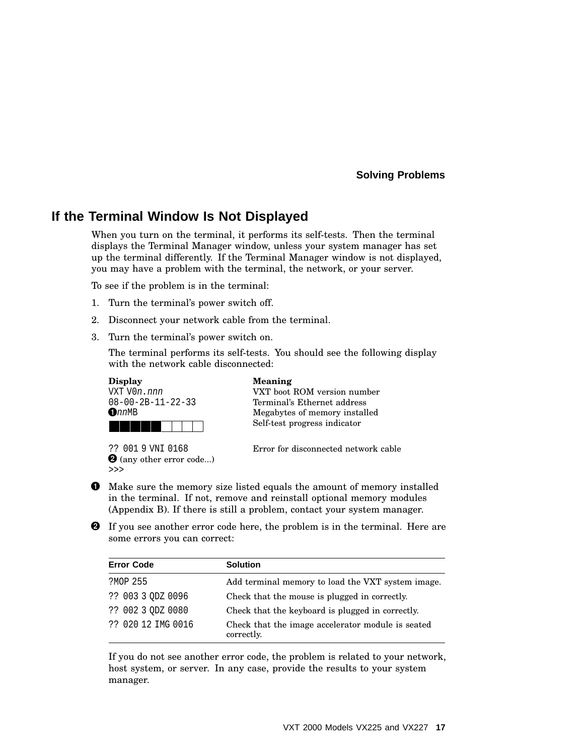#### **Solving Problems**

### **If the Terminal Window Is Not Displayed**

When you turn on the terminal, it performs its self-tests. Then the terminal displays the Terminal Manager window, unless your system manager has set up the terminal differently. If the Terminal Manager window is not displayed, you may have a problem with the terminal, the network, or your server.

To see if the problem is in the terminal:

- 1. Turn the terminal's power switch off.
- 2. Disconnect your network cable from the terminal.
- 3. Turn the terminal's power switch on.

The terminal performs its self-tests. You should see the following display with the network cable disconnected:



VXT V0n.nnn VXT boot ROM version number Terminal's Ethernet address Megabytes of memory installed Self-test progress indicator

 $\bm{\Theta}$  (any other error code...) >>>

?? 001 9 VNI 0168 Error for disconnected network cable

- $\bullet$  Make sure the memory size listed equals the amount of memory installed in the terminal. If not, remove and reinstall optional memory modules (Appendix B). If there is still a problem, contact your system manager.
- **2** If you see another error code here, the problem is in the terminal. Here are some errors you can correct:

| <b>Error Code</b>  | <b>Solution</b>                                                 |
|--------------------|-----------------------------------------------------------------|
| ?MOP 255           | Add terminal memory to load the VXT system image.               |
| ?? 003 3 ODZ 0096  | Check that the mouse is plugged in correctly.                   |
| ?? 002 3 ODZ 0080  | Check that the keyboard is plugged in correctly.                |
| ?? 020 12 IMG 0016 | Check that the image accelerator module is seated<br>correctly. |

If you do not see another error code, the problem is related to your network, host system, or server. In any case, provide the results to your system manager.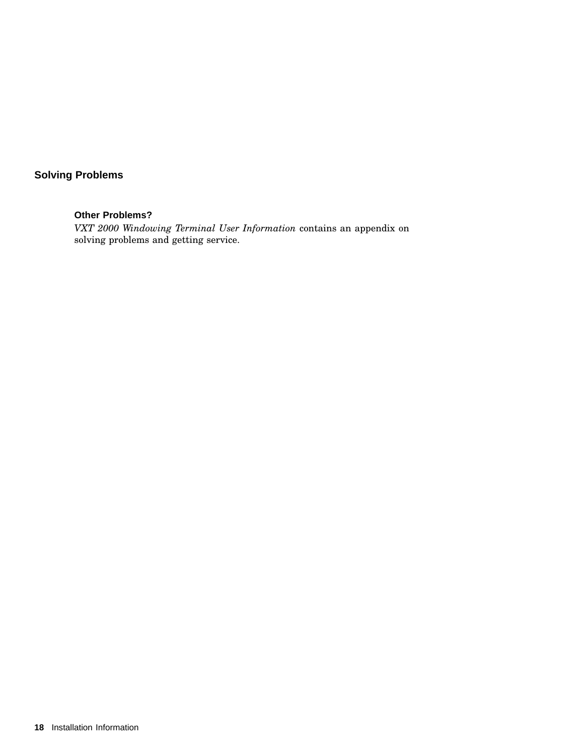## **Solving Problems**

#### **Other Problems?**

*VXT 2000 Windowing Terminal User Information* contains an appendix on solving problems and getting service.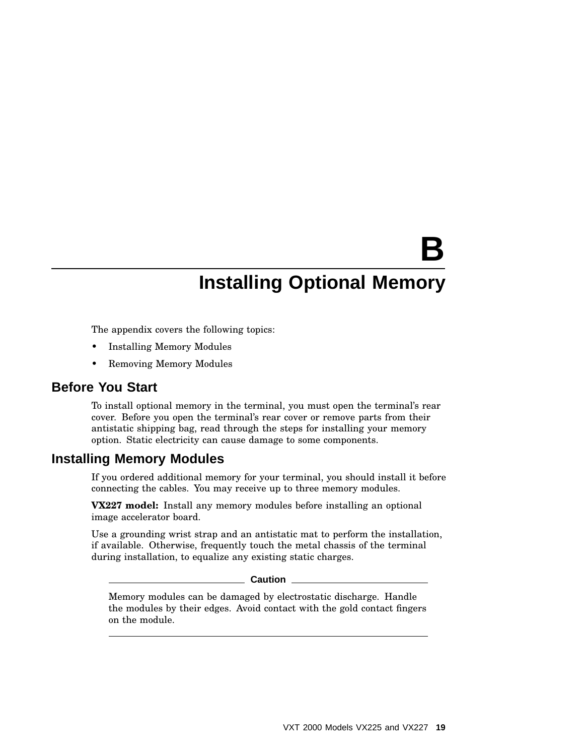# **B**

## **Installing Optional Memory**

The appendix covers the following topics:

- Installing Memory Modules
- Removing Memory Modules

#### **Before You Start**

To install optional memory in the terminal, you must open the terminal's rear cover. Before you open the terminal's rear cover or remove parts from their antistatic shipping bag, read through the steps for installing your memory option. Static electricity can cause damage to some components.

#### **Installing Memory Modules**

If you ordered additional memory for your terminal, you should install it before connecting the cables. You may receive up to three memory modules.

**VX227 model:** Install any memory modules before installing an optional image accelerator board.

Use a grounding wrist strap and an antistatic mat to perform the installation, if available. Otherwise, frequently touch the metal chassis of the terminal during installation, to equalize any existing static charges.

#### **Caution**

Memory modules can be damaged by electrostatic discharge. Handle the modules by their edges. Avoid contact with the gold contact fingers on the module.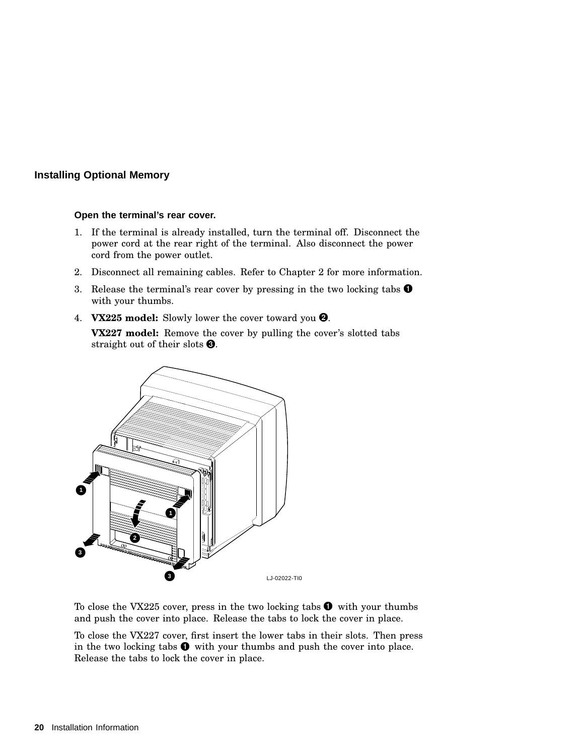#### **Installing Optional Memory**

#### **Open the terminal's rear cover.**

- 1. If the terminal is already installed, turn the terminal off. Disconnect the power cord at the rear right of the terminal. Also disconnect the power cord from the power outlet.
- 2. Disconnect all remaining cables. Refer to Chapter 2 for more information.
- 3. Release the terminal's rear cover by pressing in the two locking tabs  $\bullet$ with your thumbs.
- 4. **VX225 model:** Slowly lower the cover toward you .

**VX227 model:** Remove the cover by pulling the cover's slotted tabs straight out of their slots  $\bigcirc$ .



To close the VX225 cover, press in the two locking tabs  $\bullet$  with your thumbs and push the cover into place. Release the tabs to lock the cover in place.

To close the VX227 cover, first insert the lower tabs in their slots. Then press in the two locking tabs  $\bullet$  with your thumbs and push the cover into place. Release the tabs to lock the cover in place.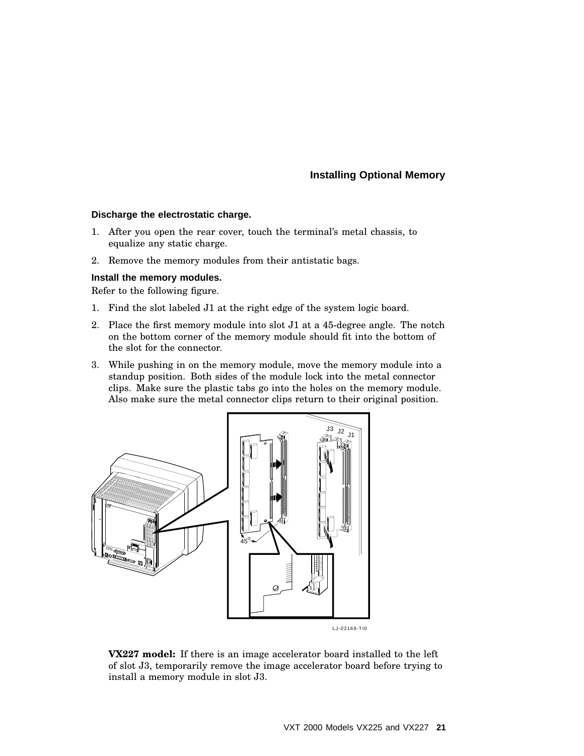#### **Installing Optional Memory**

#### **Discharge the electrostatic charge.**

- 1. After you open the rear cover, touch the terminal's metal chassis, to equalize any static charge.
- 2. Remove the memory modules from their antistatic bags.

#### **Install the memory modules.**

Refer to the following figure.

- 1. Find the slot labeled J1 at the right edge of the system logic board.
- 2. Place the first memory module into slot J1 at a 45-degree angle. The notch on the bottom corner of the memory module should fit into the bottom of the slot for the connector.
- 3. While pushing in on the memory module, move the memory module into a standup position. Both sides of the module lock into the metal connector clips. Make sure the plastic tabs go into the holes on the memory module. Also make sure the metal connector clips return to their original position.



**VX227 model:** If there is an image accelerator board installed to the left of slot J3, temporarily remove the image accelerator board before trying to install a memory module in slot J3.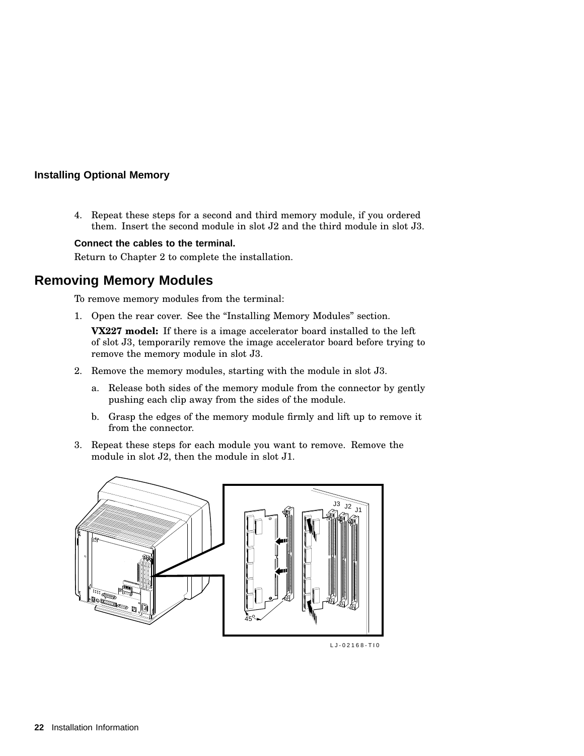#### **Installing Optional Memory**

4. Repeat these steps for a second and third memory module, if you ordered them. Insert the second module in slot J2 and the third module in slot J3.

#### **Connect the cables to the terminal.**

Return to Chapter 2 to complete the installation.

## **Removing Memory Modules**

To remove memory modules from the terminal:

1. Open the rear cover. See the "Installing Memory Modules" section.

**VX227 model:** If there is a image accelerator board installed to the left of slot J3, temporarily remove the image accelerator board before trying to remove the memory module in slot J3.

- 2. Remove the memory modules, starting with the module in slot J3.
	- a. Release both sides of the memory module from the connector by gently pushing each clip away from the sides of the module.
	- b. Grasp the edges of the memory module firmly and lift up to remove it from the connector.
- 3. Repeat these steps for each module you want to remove. Remove the module in slot J2, then the module in slot J1.



LJ-02168-TI0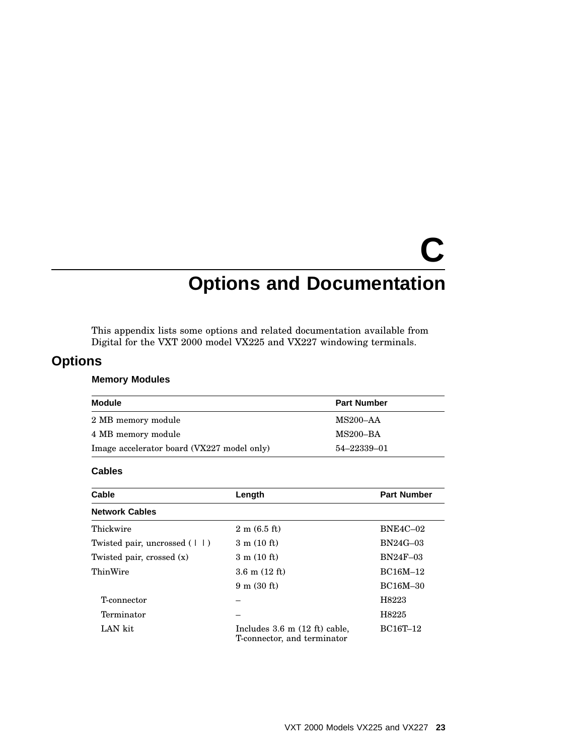# **C Options and Documentation**

This appendix lists some options and related documentation available from Digital for the VXT 2000 model VX225 and VX227 windowing terminals.

## **Options**

#### **Memory Modules**

| Module                                     | <b>Part Number</b> |
|--------------------------------------------|--------------------|
| 2 MB memory module                         | MS200–AA           |
| 4 MB memory module                         | MS200–BA           |
| Image accelerator board (VX227 model only) | 54–22339–01        |

#### **Cables**

| Cable                                     | Length                                                                 | <b>Part Number</b> |
|-------------------------------------------|------------------------------------------------------------------------|--------------------|
| <b>Network Cables</b>                     |                                                                        |                    |
| Thickwire                                 | $2 \text{ m} (6.5 \text{ ft})$                                         | <b>BNE4C-02</b>    |
| Twisted pair, uncrossed $( \vert \vert )$ | $3 \text{ m} (10 \text{ ft})$                                          | $BN24G-03$         |
| Twisted pair, crossed (x)                 | $3 \text{ m} (10 \text{ ft})$                                          | $BN24F-03$         |
| ThinWire                                  | $3.6 \text{ m} (12 \text{ ft})$                                        | BC16M-12           |
|                                           | $9 \text{ m} (30 \text{ ft})$                                          | <b>BC16M-30</b>    |
| T-connector                               |                                                                        | H8223              |
| Terminator                                |                                                                        | H8225              |
| LAN kit                                   | Includes $3.6 \text{ m}$ (12 ft) cable,<br>T-connector, and terminator | BC16T-12           |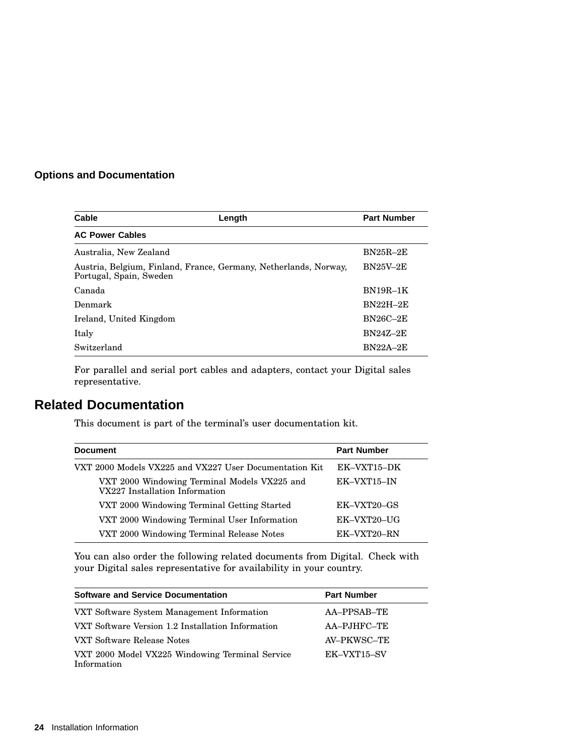### **Options and Documentation**

| Cable                                                                                       | Length | <b>Part Number</b> |
|---------------------------------------------------------------------------------------------|--------|--------------------|
| <b>AC Power Cables</b>                                                                      |        |                    |
| Australia, New Zealand                                                                      |        | $BN25R-2E$         |
| Austria, Belgium, Finland, France, Germany, Netherlands, Norway,<br>Portugal, Spain, Sweden |        | <b>BN25V-2E</b>    |
| Canada                                                                                      |        | $BN19R-1K$         |
| Denmark                                                                                     |        | $BN22H-2E$         |
| Ireland, United Kingdom                                                                     |        | $BN26C-2E$         |
| Italy                                                                                       |        | <b>BN247-2E</b>    |
| Switzerland                                                                                 |        | $BN22A-2E$         |

For parallel and serial port cables and adapters, contact your Digital sales representative.

## **Related Documentation**

This document is part of the terminal's user documentation kit.

| <b>Document</b>                                                                | <b>Part Number</b> |
|--------------------------------------------------------------------------------|--------------------|
| VXT 2000 Models VX225 and VX227 User Documentation Kit                         | EK-VXT15-DK        |
| VXT 2000 Windowing Terminal Models VX225 and<br>VX227 Installation Information | EK-VXT15-IN        |
| VXT 2000 Windowing Terminal Getting Started                                    | EK-VXT20-GS        |
| VXT 2000 Windowing Terminal User Information                                   | EK-VXT20-UG        |
| VXT 2000 Windowing Terminal Release Notes                                      | EK-VXT20-RN        |

You can also order the following related documents from Digital. Check with your Digital sales representative for availability in your country.

| <b>Software and Service Documentation</b>                      | <b>Part Number</b> |
|----------------------------------------------------------------|--------------------|
| VXT Software System Management Information                     | AA-PPSAB-TE        |
| VXT Software Version 1.2 Installation Information              | AA-PJHFC-TE        |
| VXT Software Release Notes                                     | AV-PKWSC-TE        |
| VXT 2000 Model VX225 Windowing Terminal Service<br>Information | EK-VXT15-SV        |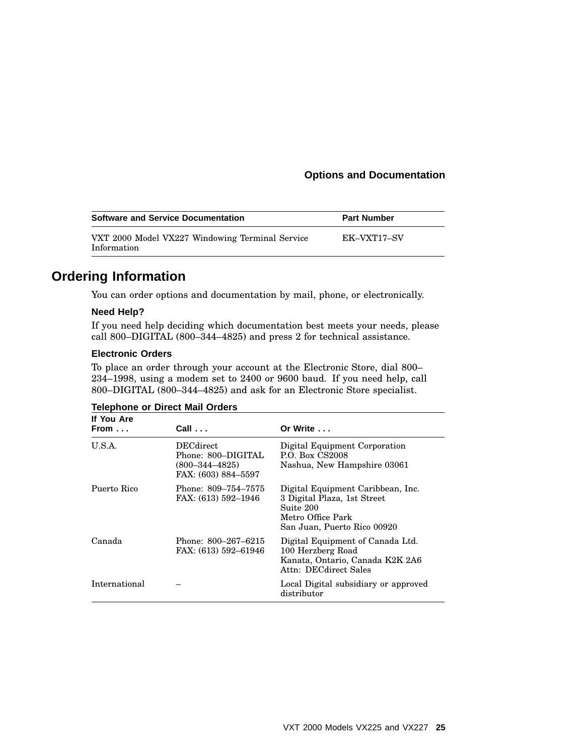#### **Options and Documentation**

| <b>Software and Service Documentation</b>                      | <b>Part Number</b> |
|----------------------------------------------------------------|--------------------|
| VXT 2000 Model VX227 Windowing Terminal Service<br>Information | EK-VXT17-SV        |

## **Ordering Information**

You can order options and documentation by mail, phone, or electronically.

#### **Need Help?**

If you need help deciding which documentation best meets your needs, please call 800–DIGITAL (800–344–4825) and press 2 for technical assistance.

#### **Electronic Orders**

To place an order through your account at the Electronic Store, dial 800– 234–1998, using a modem set to 2400 or 9600 baud. If you need help, call 800–DIGITAL (800–344–4825) and ask for an Electronic Store specialist.

| If You Are<br>From $\dots$ | $Call \ldots$                                                                  | Or Write $\ldots$                                                                                                                 |
|----------------------------|--------------------------------------------------------------------------------|-----------------------------------------------------------------------------------------------------------------------------------|
| U.S.A.                     | DECdirect<br>Phone: 800–DIGITAL<br>$(800 - 344 - 4825)$<br>FAX: (603) 884–5597 | Digital Equipment Corporation<br>P.O. Box CS2008<br>Nashua, New Hampshire 03061                                                   |
| Puerto Rico                | Phone: 809–754–7575<br>FAX: (613) 592-1946                                     | Digital Equipment Caribbean, Inc.<br>3 Digital Plaza, 1st Street<br>Suite 200<br>Metro Office Park<br>San Juan, Puerto Rico 00920 |
| Canada                     | Phone: 800–267–6215<br>FAX: (613) 592–61946                                    | Digital Equipment of Canada Ltd.<br>100 Herzberg Road<br>Kanata, Ontario, Canada K2K 2A6<br>Attn: DECdirect Sales                 |
| International              |                                                                                | Local Digital subsidiary or approved<br>distributor                                                                               |

#### **Telephone or Direct Mail Orders**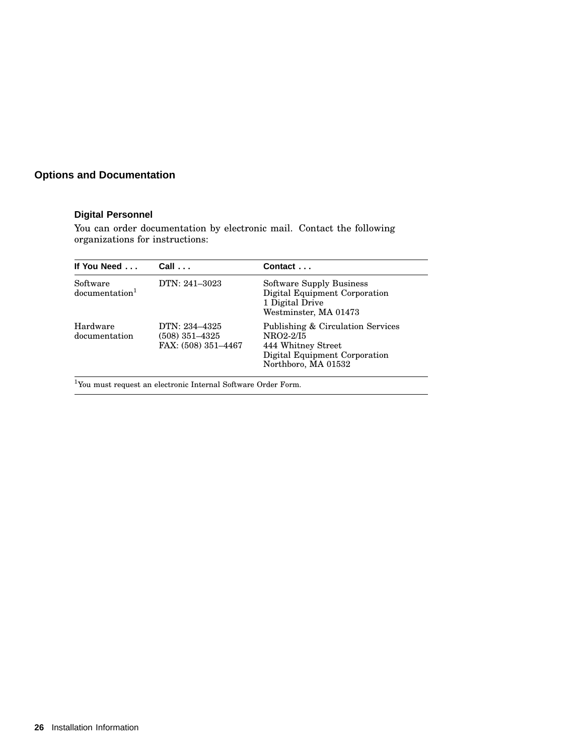## **Options and Documentation**

#### **Digital Personnel**

You can order documentation by electronic mail. Contact the following organizations for instructions:

| If You Need                            | $Call \ldots$                                          | Contact                                                                                                                      |
|----------------------------------------|--------------------------------------------------------|------------------------------------------------------------------------------------------------------------------------------|
| Software<br>documentation <sup>1</sup> | DTN: 241-3023                                          | <b>Software Supply Business</b><br>Digital Equipment Corporation<br>1 Digital Drive<br>Westminster, MA 01473                 |
| Hardware<br>documentation              | DTN: 234-4325<br>(508) 351–4325<br>FAX: (508) 351-4467 | Publishing & Circulation Services<br>NRO2-2/I5<br>444 Whitney Street<br>Digital Equipment Corporation<br>Northboro, MA 01532 |

<sup>1</sup>You must request an electronic Internal Software Order Form.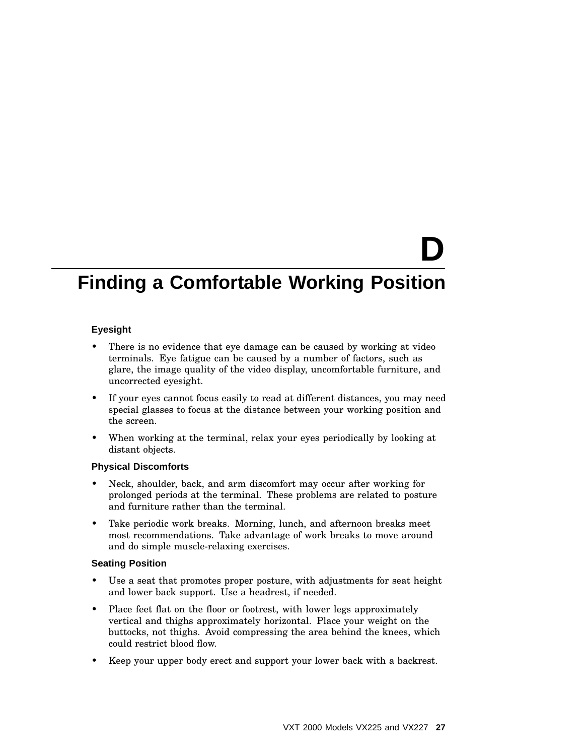# **D**

## **Finding a Comfortable Working Position**

#### **Eyesight**

- There is no evidence that eye damage can be caused by working at video terminals. Eye fatigue can be caused by a number of factors, such as glare, the image quality of the video display, uncomfortable furniture, and uncorrected eyesight.
- If your eyes cannot focus easily to read at different distances, you may need special glasses to focus at the distance between your working position and the screen.
- When working at the terminal, relax your eyes periodically by looking at distant objects.

#### **Physical Discomforts**

- Neck, shoulder, back, and arm discomfort may occur after working for prolonged periods at the terminal. These problems are related to posture and furniture rather than the terminal.
- Take periodic work breaks. Morning, lunch, and afternoon breaks meet most recommendations. Take advantage of work breaks to move around and do simple muscle-relaxing exercises.

#### **Seating Position**

- Use a seat that promotes proper posture, with adjustments for seat height and lower back support. Use a headrest, if needed.
- Place feet flat on the floor or footrest, with lower legs approximately vertical and thighs approximately horizontal. Place your weight on the buttocks, not thighs. Avoid compressing the area behind the knees, which could restrict blood flow.
- Keep your upper body erect and support your lower back with a backrest.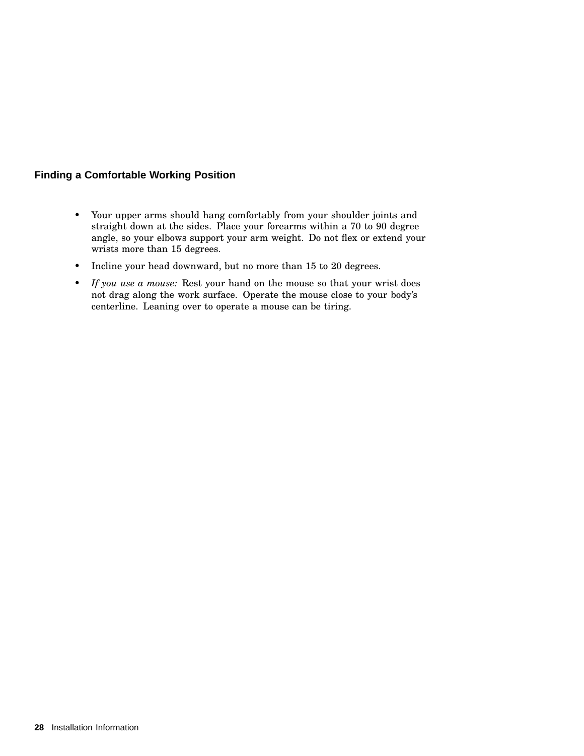#### **Finding a Comfortable Working Position**

- Your upper arms should hang comfortably from your shoulder joints and straight down at the sides. Place your forearms within a 70 to 90 degree angle, so your elbows support your arm weight. Do not flex or extend your wrists more than 15 degrees.
- Incline your head downward, but no more than 15 to 20 degrees.
- *If you use a mouse:* Rest your hand on the mouse so that your wrist does not drag along the work surface. Operate the mouse close to your body's centerline. Leaning over to operate a mouse can be tiring.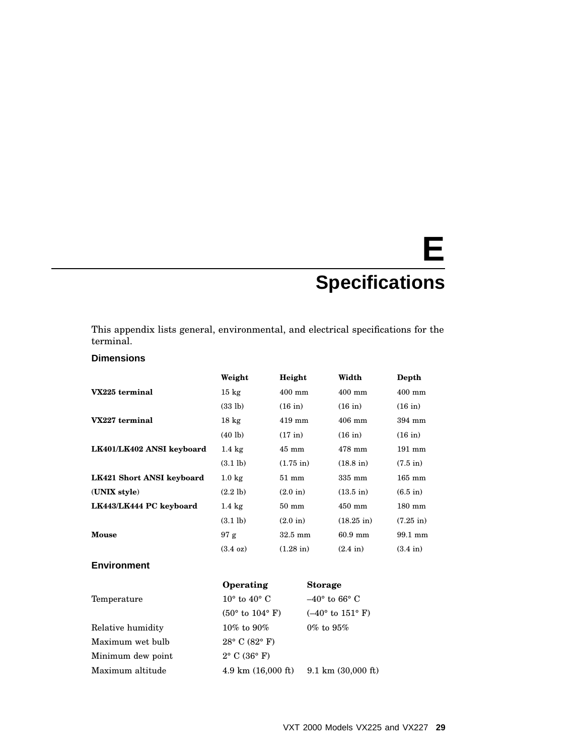# **E Specifications**

This appendix lists general, environmental, and electrical specifications for the terminal.

#### **Dimensions**

|                           | Weight             | Height              | Width                | Depth               |
|---------------------------|--------------------|---------------------|----------------------|---------------------|
| VX225 terminal            | $15 \text{ kg}$    | $400$ mm            | $400$ mm             | $400$ mm            |
|                           | (33 lb)            | $(16$ in)           | $(16$ in)            | $(16$ in)           |
| VX227 terminal            | $18 \text{ kg}$    | $419$ mm            | $406$ mm             | 394 mm              |
|                           | $(40 \text{ lb})$  | $(17$ in)           | $(16$ in)            | $(16 \text{ in})$   |
| LK401/LK402 ANSI keyboard | $1.4 \text{ kg}$   | $45 \text{ mm}$     | $478$ mm             | 191 mm              |
|                           | $(3.1 \text{ lb})$ | $(1.75 \text{ in})$ | $(18.8 \text{ in})$  | $(7.5 \text{ in})$  |
| LK421 Short ANSI keyboard | $1.0 \text{ kg}$   | $51 \text{ mm}$     | $335 \text{ mm}$     | $165$ mm            |
| (UNIX style)              | $(2.2$ lb)         | $(2.0 \text{ in})$  | $(13.5 \text{ in})$  | $(6.5$ in)          |
| LK443/LK444 PC keyboard   | $1.4 \text{ kg}$   | $50 \text{ mm}$     | $450$ mm             | $180 \text{ mm}$    |
|                           | $(3.1 \text{ lb})$ | $(2.0 \text{ in})$  | $(18.25 \text{ in})$ | $(7.25 \text{ in})$ |
| Mouse                     | 97 g               | $32.5 \text{ mm}$   | $60.9$ mm            | 99.1 mm             |
|                           | $(3.4 \text{ oz})$ | $(1.28 \text{ in})$ | $(2.4 \text{ in})$   | $(3.4 \text{ in})$  |
| <b>Environment</b>        |                    |                     |                      |                     |

|                   | Operating                         | <b>Storage</b>                     |
|-------------------|-----------------------------------|------------------------------------|
| Temperature       | $10^{\circ}$ to $40^{\circ}$ C    | $-40^{\circ}$ to 66° C             |
|                   | $(50^{\circ}$ to $104^{\circ}$ F) | $(-40^{\circ}$ to $151^{\circ}$ F) |
| Relative humidity | 10\% to 90\%                      | $0\%$ to $95\%$                    |
| Maximum wet bulb  | $28^{\circ}$ C (82 $^{\circ}$ F)  |                                    |
| Minimum dew point | $2^{\circ}$ C (36 $^{\circ}$ F)   |                                    |
| Maximum altitude  | $4.9 \text{ km}$ (16,000 ft)      | $9.1 \text{ km}$ (30,000 ft)       |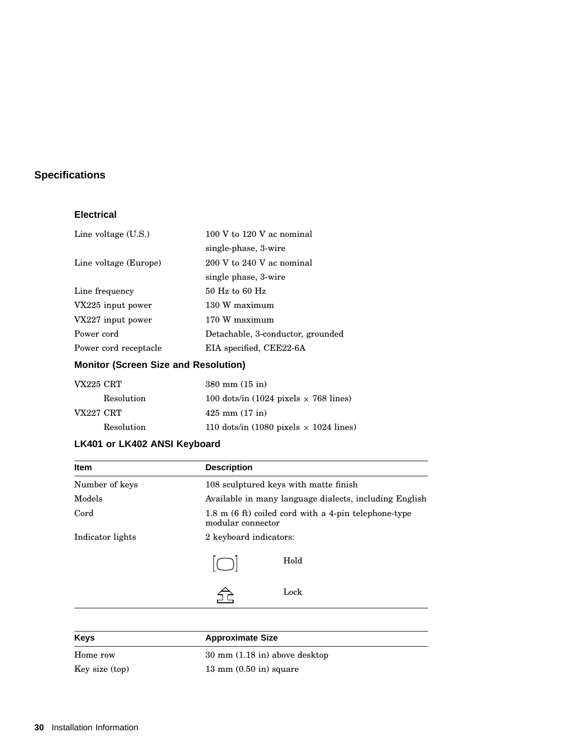## **Specifications**

#### **Electrical**

| 100 V to 120 V ac nominal         |
|-----------------------------------|
| single-phase, 3-wire              |
| 200 V to 240 V ac nominal         |
| single phase, 3-wire              |
| $50$ Hz to 60 Hz                  |
| 130 W maximum                     |
| 170 W maximum                     |
| Detachable, 3-conductor, grounded |
| EIA specified, CEE22-6A           |
|                                   |

### **Monitor (Screen Size and Resolution)**

| <b>VX225 CRT</b> |            | $380 \text{ mm} (15 \text{ in})$              |
|------------------|------------|-----------------------------------------------|
|                  | Resolution | 100 dots/in (1024 pixels $\times$ 768 lines)  |
| VX227 CRT        |            | $425 \text{ mm} (17 \text{ in})$              |
|                  | Resolution | 110 dots/in (1080 pixels $\times$ 1024 lines) |

### **LK401 or LK402 ANSI Keyboard**

| <b>Item</b>      | <b>Description</b>     |                                                        |
|------------------|------------------------|--------------------------------------------------------|
| Number of keys   |                        | 108 sculptured keys with matte finish                  |
| Models           |                        | Available in many language dialects, including English |
| Cord             | modular connector      | 1.8 m (6 ft) coiled cord with a 4-pin telephone-type   |
| Indicator lights | 2 keyboard indicators: |                                                        |
|                  |                        | Hold                                                   |
|                  |                        | Lock                                                   |

| <b>Keys</b>    | <b>Approximate Size</b>                           |  |
|----------------|---------------------------------------------------|--|
| Home row       | $30 \text{ mm}$ $(1.18 \text{ in})$ above desktop |  |
| Key size (top) | $13 \text{ mm}$ $(0.50 \text{ in})$ square        |  |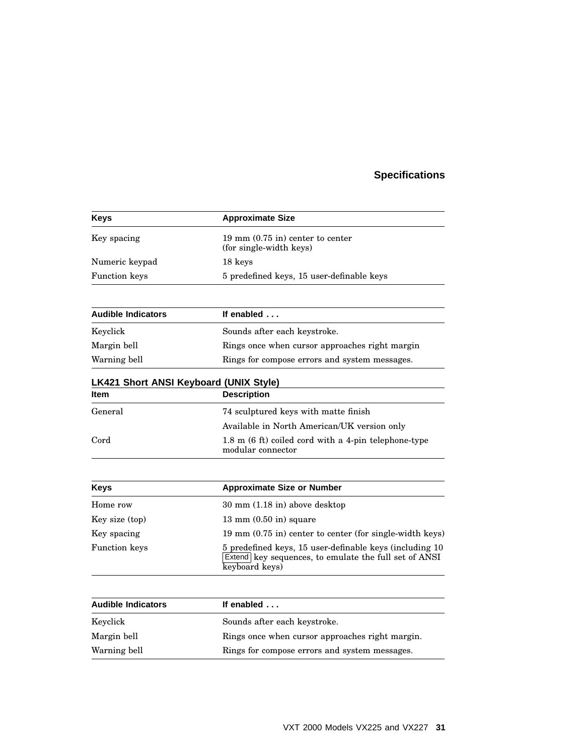## **Specifications**

| <b>Keys</b>                                   | <b>Approximate Size</b>                                                                                                            |
|-----------------------------------------------|------------------------------------------------------------------------------------------------------------------------------------|
| Key spacing                                   | $19 \text{ mm } (0.75 \text{ in})$ center to center<br>(for single-width keys)                                                     |
| Numeric keypad                                | 18 keys                                                                                                                            |
| <b>Function</b> keys                          | 5 predefined keys, 15 user-definable keys                                                                                          |
| <b>Audible Indicators</b>                     | If enabled                                                                                                                         |
| Keyclick                                      | Sounds after each keystroke.                                                                                                       |
| Margin bell                                   | Rings once when cursor approaches right margin                                                                                     |
| Warning bell                                  | Rings for compose errors and system messages.                                                                                      |
| <b>LK421 Short ANSI Keyboard (UNIX Style)</b> |                                                                                                                                    |
| ltem                                          | <b>Description</b>                                                                                                                 |
| General                                       | 74 sculptured keys with matte finish                                                                                               |
|                                               | Available in North American/UK version only                                                                                        |
| Cord                                          | 1.8 m (6 ft) coiled cord with a 4-pin telephone-type<br>modular connector                                                          |
|                                               |                                                                                                                                    |
| <b>Keys</b>                                   | <b>Approximate Size or Number</b>                                                                                                  |
| Home row                                      | $30 \text{ mm}$ $(1.18 \text{ in})$ above desktop                                                                                  |
| Key size (top)                                | $13 \text{ mm}$ $(0.50 \text{ in})$ square                                                                                         |
| Key spacing                                   | 19 mm (0.75 in) center to center (for single-width keys)                                                                           |
| <b>Function</b> keys                          | 5 predefined keys, 15 user-definable keys (including 10<br>Extend key sequences, to emulate the full set of ANSI<br>keyboard keys) |
|                                               |                                                                                                                                    |
| <b>Audible Indicators</b>                     | If enabled                                                                                                                         |
|                                               |                                                                                                                                    |

| <b>Audible Indicators</b> | If enabled $\ldots$                             |
|---------------------------|-------------------------------------------------|
| Kevclick                  | Sounds after each keystroke.                    |
| Margin bell               | Rings once when cursor approaches right margin. |
| Warning bell              | Rings for compose errors and system messages.   |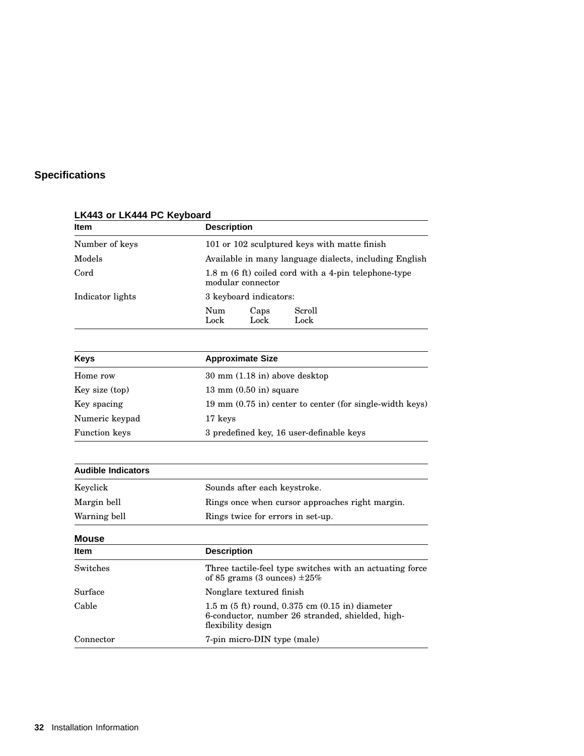## **Specifications**

| <b>Item</b>      | <b>Description</b>                                                        |  |
|------------------|---------------------------------------------------------------------------|--|
| Number of keys   | 101 or 102 sculptured keys with matte finish                              |  |
| Models           | Available in many language dialects, including English                    |  |
| Cord             | 1.8 m (6 ft) coiled cord with a 4-pin telephone-type<br>modular connector |  |
| Indicator lights | 3 keyboard indicators:                                                    |  |
|                  | Scroll<br>Num<br>Caps<br>Lock<br>Lock<br>Lock                             |  |

## **LK443 or LK444 PC Keyboard**

| <b>Keys</b>          | <b>Approximate Size</b>                                    |
|----------------------|------------------------------------------------------------|
| Home row             | $30 \text{ mm}$ $(1.18 \text{ in})$ above desktop          |
| Key size (top)       | $13 \text{ mm}$ $(0.50 \text{ in})$ square                 |
| Key spacing          | 19 mm $(0.75$ in) center to center (for single-width keys) |
| Numeric keypad       | 17 keys                                                    |
| <b>Function keys</b> | 3 predefined key, 16 user-definable keys                   |

| <b>Audible Indicators</b> |                                                                                                                                               |
|---------------------------|-----------------------------------------------------------------------------------------------------------------------------------------------|
| Keyclick                  | Sounds after each keystroke.                                                                                                                  |
| Margin bell               | Rings once when cursor approaches right margin.                                                                                               |
| Warning bell              | Rings twice for errors in set-up.                                                                                                             |
| <b>Mouse</b>              |                                                                                                                                               |
| <b>Item</b>               | <b>Description</b>                                                                                                                            |
| Switches                  | Three tactile-feel type switches with an actuating force<br>of 85 grams (3 ounces) $\pm 25\%$                                                 |
| Surface                   | Nonglare textured finish                                                                                                                      |
| Cable                     | 1.5 m $(5 \text{ ft})$ round, 0.375 cm $(0.15 \text{ in})$ diameter<br>6-conductor, number 26 stranded, shielded, high-<br>flexibility design |
| Connector                 | 7-pin micro-DIN type (male)                                                                                                                   |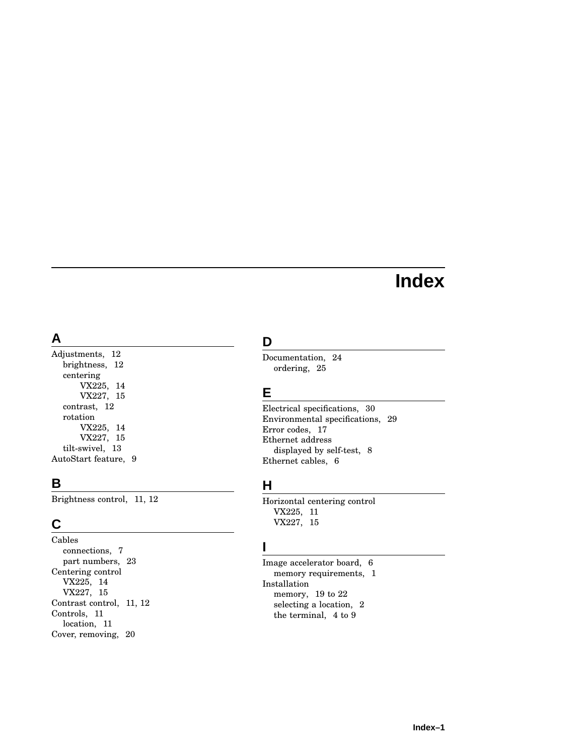## **Index**

## **A**

Adjustments, 12 brightness, 12 centering VX225, 14 VX227, 15 contrast, 12 rotation VX225, 14 VX227, 15 tilt-swivel, 13 AutoStart feature, 9

## **B**

Brightness control, 11, 12

## **C**

Cables connections, 7 part numbers, 23 Centering control VX225, 14 VX227, 15 Contrast control, 11, 12 Controls, 11 location, 11 Cover, removing, 20

## **D**

Documentation, 24 ordering, 25

## **E**

Electrical specifications, 30 Environmental specifications, 29 Error codes, 17 Ethernet address displayed by self-test, 8 Ethernet cables, 6

## **H**

Horizontal centering control VX225, 11 VX227, 15

## **I**

Image accelerator board, 6 memory requirements, 1 Installation memory, 19 to 22 selecting a location, 2 the terminal, 4 to 9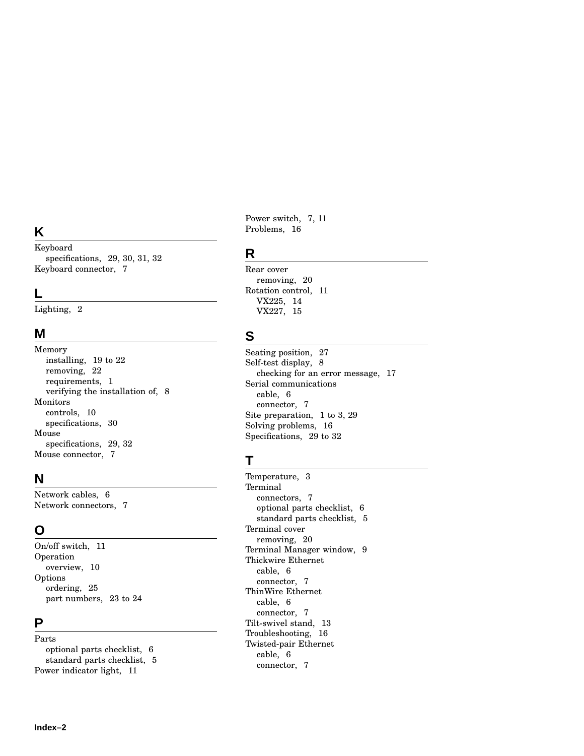## **K**

Keyboard specifications, 29 , 30 , 31 , 32 Keyboard connector, 7

## **L**

Lighting, 2

## **M**

Memory installing, 19 to 22 removing, 22 requirements, 1 verifying the installation of, 8 Monitors controls, 10 specifications, 30 Mouse specifications, 29 , 32 Mouse connector, 7

## **N**

Network cables, 6 Network connectors, 7

## **O**

On/off switch, 1 1 Operation overview, 10 Options ordering, 25 part numbers, 23 to 24

## **P**

Parts optional parts checklist, 6 standard parts checklist, 5 Power indicator light, 1 1

Power switch, 7, 11 Problems, 16

#### **R**

Rear cover removing, 20 Rotatio n control, 1 1 VX225, 14 VX227, 15

## **S**

Seating position, 27 Self-test display, 8 checking for an error message, 17 Serial communications cable, 6 connector, 7 Site preparation, 1 to 3 , 29 Solving problems, 16 Specifications, 29 to 32

## **T**

Temperature, 3 **Terminal** connectors, 7 optional parts checklist, 6 standard parts checklist, 5 Terminal cover removing, 20 Terminal Manager window, 9 Thickwire Ethernet cable, 6 connector, 7 ThinWire Ethernet cable, 6 connector, 7 Tilt-swivel stand, 13 Troubleshooting, 16 Twisted-pair Ethernet cable, 6 connector, 7